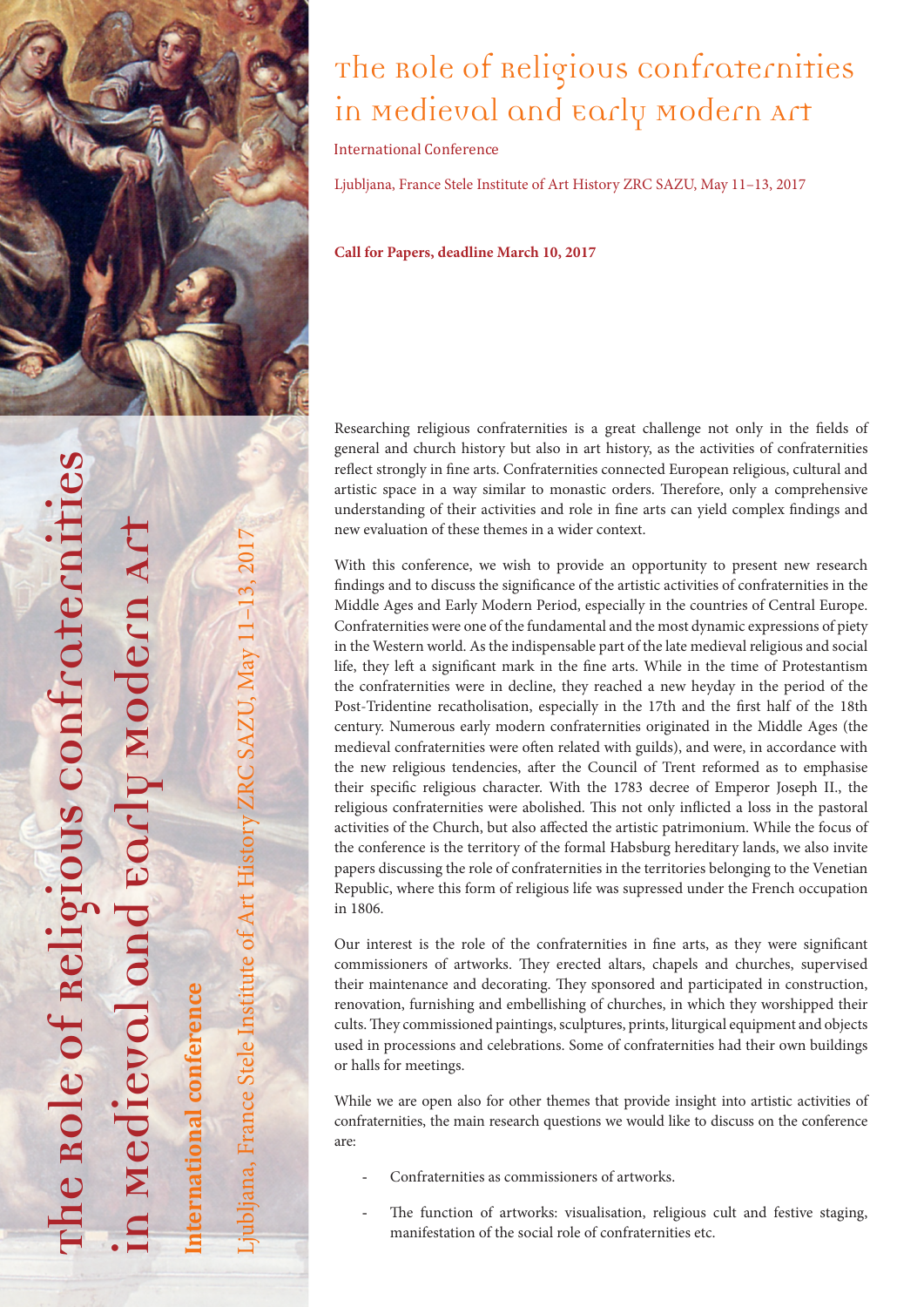

## The Role of Religious Confraternities in Medieval and Early Modern Art

International Conference

Ljubljana, France Stele Institute of Art History ZRC SAZU, May 11–13, 2017

**Call for Papers, deadline March 10, 2017**

Researching religious confraternities is a great challenge not only in the fields of general and church history but also in art history, as the activities of confraternities reflect strongly in fine arts. Confraternities connected European religious, cultural and artistic space in a way similar to monastic orders. Therefore, only a comprehensive understanding of their activities and role in fine arts can yield complex findings and new evaluation of these themes in a wider context.

With this conference, we wish to provide an opportunity to present new research findings and to discuss the significance of the artistic activities of confraternities in the Middle Ages and Early Modern Period, especially in the countries of Central Europe. Confraternities were one of the fundamental and the most dynamic expressions of piety in the Western world. As the indispensable part of the late medieval religious and social life, they left a significant mark in the fine arts. While in the time of Protestantism the confraternities were in decline, they reached a new heyday in the period of the Post-Tridentine recatholisation, especially in the 17th and the first half of the 18th century. Numerous early modern confraternities originated in the Middle Ages (the medieval confraternities were often related with guilds), and were, in accordance with the new religious tendencies, after the Council of Trent reformed as to emphasise their specific religious character. With the 1783 decree of Emperor Joseph II., the religious confraternities were abolished. This not only inflicted a loss in the pastoral activities of the Church, but also affected the artistic patrimonium. While the focus of the conference is the territory of the formal Habsburg hereditary lands, we also invite papers discussing the role of confraternities in the territories belonging to the Venetian Republic, where this form of religious life was supressed under the French occupation in 1806.

Our interest is the role of the confraternities in fine arts, as they were significant commissioners of artworks. They erected altars, chapels and churches, supervised their maintenance and decorating. They sponsored and participated in construction, renovation, furnishing and embellishing of churches, in which they worshipped their cults. They commissioned paintings, sculptures, prints, liturgical equipment and objects used in processions and celebrations. Some of confraternities had their own buildings or halls for meetings.

While we are open also for other themes that provide insight into artistic activities of confraternities, the main research questions we would like to discuss on the conference are:

- Confraternities as commissioners of artworks.
- The function of artworks: visualisation, religious cult and festive staging, manifestation of the social role of confraternities etc.

**The Role of Religious Confraternities**  le Role of Religious confroterniti **in Medieval and Early Modern Art** edievol and early model ernational conference **International conference**

oljana, France Stele Institute of Art History ZRC SAZU, May 11-13, 2017 Ljubljana, France Stele Institute of Art History ZRC SAZU, May 11–13, 2017